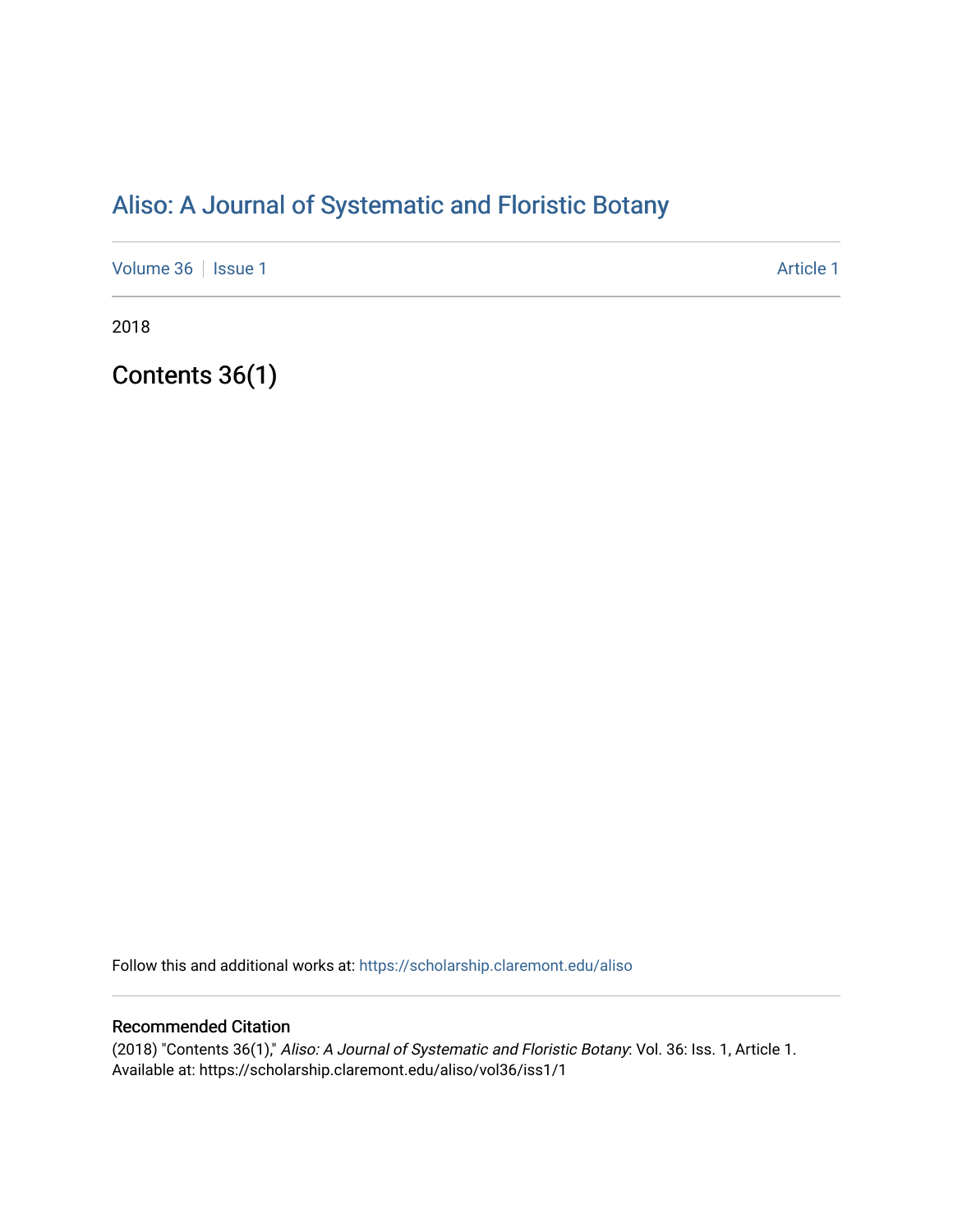# [Aliso: A Journal of Systematic and Floristic Botany](https://scholarship.claremont.edu/aliso)

[Volume 36](https://scholarship.claremont.edu/aliso/vol36) | [Issue 1](https://scholarship.claremont.edu/aliso/vol36/iss1) Article 1

2018

Contents 36(1)

Follow this and additional works at: [https://scholarship.claremont.edu/aliso](https://scholarship.claremont.edu/aliso?utm_source=scholarship.claremont.edu%2Faliso%2Fvol36%2Fiss1%2F1&utm_medium=PDF&utm_campaign=PDFCoverPages) 

### Recommended Citation

(2018) "Contents 36(1)," Aliso: A Journal of Systematic and Floristic Botany: Vol. 36: Iss. 1, Article 1. Available at: https://scholarship.claremont.edu/aliso/vol36/iss1/1